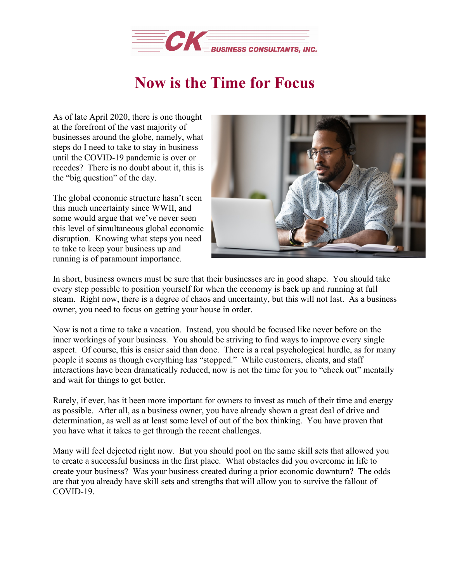

## **Now is the Time for Focus**

As of late April 2020, there is one thought at the forefront of the vast majority of businesses around the globe, namely, what steps do I need to take to stay in business until the COVID-19 pandemic is over or recedes? There is no doubt about it, this is the "big question" of the day.

The global economic structure hasn't seen this much uncertainty since WWII, and some would argue that we've never seen this level of simultaneous global economic disruption. Knowing what steps you need to take to keep your business up and running is of paramount importance.



In short, business owners must be sure that their businesses are in good shape. You should take every step possible to position yourself for when the economy is back up and running at full steam. Right now, there is a degree of chaos and uncertainty, but this will not last. As a business owner, you need to focus on getting your house in order.

Now is not a time to take a vacation. Instead, you should be focused like never before on the inner workings of your business. You should be striving to find ways to improve every single aspect. Of course, this is easier said than done. There is a real psychological hurdle, as for many people it seems as though everything has "stopped." While customers, clients, and staff interactions have been dramatically reduced, now is not the time for you to "check out" mentally and wait for things to get better.

Rarely, if ever, has it been more important for owners to invest as much of their time and energy as possible. After all, as a business owner, you have already shown a great deal of drive and determination, as well as at least some level of out of the box thinking. You have proven that you have what it takes to get through the recent challenges.

Many will feel dejected right now. But you should pool on the same skill sets that allowed you to create a successful business in the first place. What obstacles did you overcome in life to create your business? Was your business created during a prior economic downturn? The odds are that you already have skill sets and strengths that will allow you to survive the fallout of COVID-19.